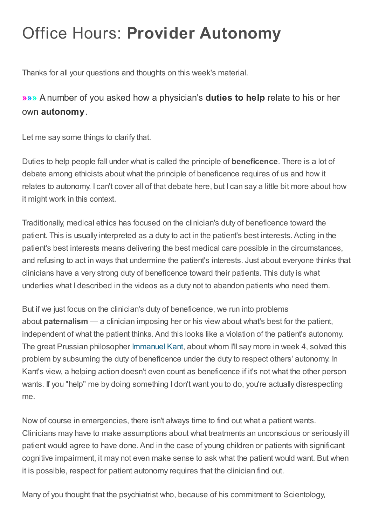## Office Hours: Provider Autonomy

Thanks for all your questions and thoughts on this week's material.

## »»» A number of you asked how a physician's duties to help relate to his or her own autonomy.

Let me say some things to clarify that.

Duties to help people fall under what is called the principle of **beneficence**. There is a lot of debate among ethicists about what the principle of beneficence requires of us and how it relates to autonomy. I can't cover all of that debate here, but I can say a little bit more about how it might work in this context.

Traditionally, medical ethics has focused on the clinician's duty of beneficence toward the patient. This is usually interpreted as a duty to act in the patient's best interests. Acting in the patient's best interests means delivering the best medical care possible in the circumstances, and refusing to act in ways that undermine the patient's interests. Just about everyone thinks that clinicians have a very strong duty of beneficence toward their patients. This duty is what underlies what I described in the videos as a duty not to abandon patients who need them.

But if we just focus on the clinician's duty of beneficence, we run into problems about paternalism — a clinician imposing her or his view about what's best for the patient, independent of what the patient thinks. And this looks like a violation of the patient's autonomy. The great Prussian philosopher [Immanuel](http://plato.stanford.edu/entries/kant/) Kant, about whom I'll say more in week 4, solved this problem by subsuming the duty of beneficence under the duty to respect others' autonomy. In Kant's view, a helping action doesn't even count as beneficence if it's not what the other person wants. If you "help" me by doing something I don't want you to do, you're actually disrespecting me.

Now of course in emergencies, there isn't always time to find out what a patient wants. Clinicians may have to make assumptions about what treatments an unconscious or seriously ill patient would agree to have done. And in the case of young children or patients with significant cognitive impairment, it may not even make sense to ask what the patient would want. But when it is possible, respect for patient autonomy requires that the clinician find out.

Many of you thought that the psychiatrist who, because of his commitment to Scientology,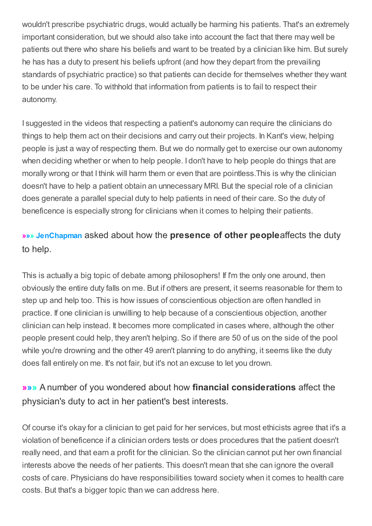wouldn't prescribe psychiatric drugs, would actually be harming his patients. That's an extremely important consideration, but we should also take into account the fact that there may well be patients out there who share his beliefs and want to be treated by a clinician like him. But surely he has has a duty to present his beliefs upfront (and how they depart from the prevailing standards of psychiatric practice) so that patients can decide for themselves whether they want to be under his care. To withhold that information from patients is to fail to respect their autonomy.

I suggested in the videos that respecting a patient's autonomy can require the clinicians do things to help them act on their decisions and carry out their projects. In Kant's view, helping people is just a way of respecting them. But we do normally get to exercise our own autonomy when deciding whether or when to help people. I don't have to help people do things that are morally wrong or that I think will harm them or even that are pointless.This is why the clinician doesn't have to help a patient obtain an unnecessary MRI. But the special role of a clinician does generate a parallel special duty to help patients in need of their care. So the duty of beneficence is especially strong for clinicians when it comes to helping their patients.

## »»» JenChapman asked about how the presence of other peopleaffects the duty to help.

This is actually a big topic of debate among philosophers! If I'm the only one around, then obviously the entire duty falls on me. But if others are present, it seems reasonable for them to step up and help too. This is how issues of conscientious objection are often handled in practice. If one clinician is unwilling to help because of a conscientious objection, another clinician can help instead. It becomes more complicated in cases where, although the other people present could help, they aren't helping. So if there are 50 of us on the side of the pool while you're drowning and the other 49 aren't planning to do anything, it seems like the duty does fall entirely on me. It's not fair, but it's not an excuse to let you drown.

## »»» A number of you wondered about how financial considerations affect the physician's duty to act in her patient's best interests.

Of course it's okay for a clinician to get paid for her services, but most ethicists agree that it's a violation of beneficence if a clinician orders tests or does procedures that the patient doesn't really need, and that earn a profit for the clinician. So the clinician cannot put her own financial interests above the needs of her patients. This doesn't mean that she can ignore the overall costs of care. Physicians do have responsibilities toward society when it comes to health care costs. But that's a bigger topic than we can address here.